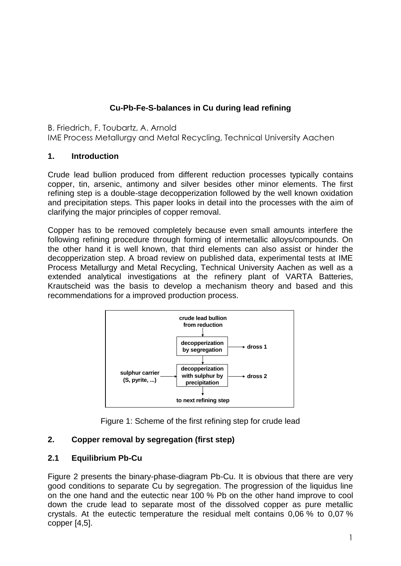# **Cu-Pb-Fe-S-balances in Cu during lead refining**

B. Friedrich, F. Toubartz, A. Arnold

IME Process Metallurgy and Metal Recycling, Technical University Aachen

#### **1. Introduction**

Crude lead bullion produced from different reduction processes typically contains copper, tin, arsenic, antimony and silver besides other minor elements. The first refining step is a double-stage decopperization followed by the well known oxidation and precipitation steps. This paper looks in detail into the processes with the aim of clarifying the major principles of copper removal.

Copper has to be removed completely because even small amounts interfere the following refining procedure through forming of intermetallic alloys/compounds. On the other hand it is well known, that third elements can also assist or hinder the decopperization step. A broad review on published data, experimental tests at IME Process Metallurgy and Metal Recycling, Technical University Aachen as well as a extended analytical investigations at the refinery plant of VARTA Batteries, Krautscheid was the basis to develop a mechanism theory and based and this recommendations for a improved production process.



Figure 1: Scheme of the first refining step for crude lead

## **2. Copper removal by segregation (first step)**

## **2.1 Equilibrium Pb-Cu**

Figure 2 presents the binary-phase-diagram Pb-Cu. It is obvious that there are very good conditions to separate Cu by segregation. The progression of the liquidus line on the one hand and the eutectic near 100 % Pb on the other hand improve to cool down the crude lead to separate most of the dissolved copper as pure metallic crystals. At the eutectic temperature the residual melt contains 0,06 % to 0,07 %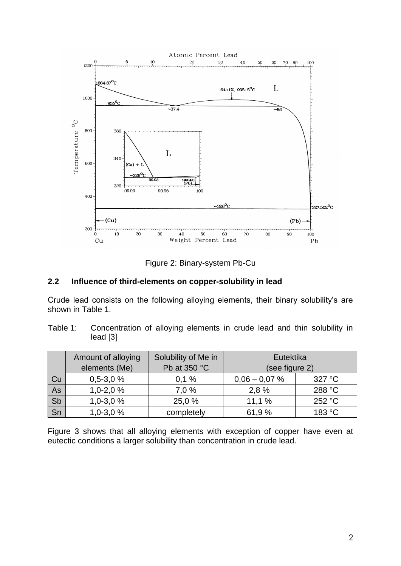

Figure 2: Binary-system Pb-Cu

#### **2.2 Influence of third-elements on copper-solubility in lead**

Crude lead consists on the following alloying elements, their binary solubility's are shown in Table 1.

Table 1: Concentration of alloying elements in crude lead and thin solubility in lead [3]

|    | Amount of alloying | Solubility of Me in | Eutektika       |        |  |
|----|--------------------|---------------------|-----------------|--------|--|
|    | elements (Me)      | Pb at 350 °C        | (see figure 2)  |        |  |
| Cu | $0,5-3,0%$         | 0,1%                | $0,06 - 0,07$ % | 327 °C |  |
| As | $1,0-2,0%$         | 7.0%                | 2.8%            | 288 °C |  |
| Sb | $1,0-3,0%$         | 25,0 %              | 11.1%           | 252 °C |  |
| Sn | $1,0-3,0%$         | completely          | 61,9%           | 183 °C |  |

Figure 3 shows that all alloying elements with exception of copper have even at eutectic conditions a larger solubility than concentration in crude lead.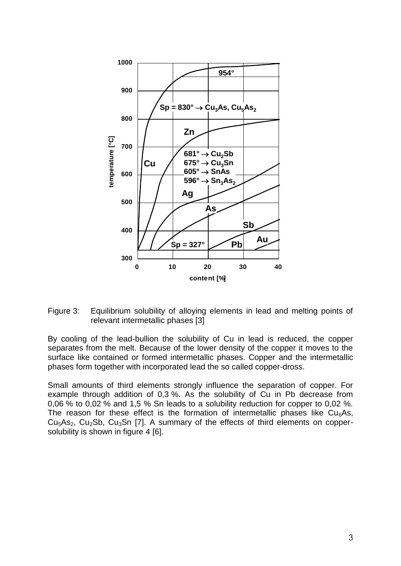

Figure 3: Equilibrium solubility of alloying elements in lead and melting points of relevant intermetallic phases [3]

By cooling of the lead-bullion the solubility of Cu in lead is reduced, the copper separates from the melt. Because of the lower density of the copper it moves to the surface like contained or formed intermetallic phases. Copper and the intermetallic phases form together with incorporated lead the so called copper-dross.

Small amounts of third elements strongly influence the separation of copper. For example through addition of 0,3 %. As the solubility of Cu in Pb decrease from 0,06 % to 0,02 % and 1,5 % Sn leads to a solubility reduction for copper to 0,02 %. The reason for these effect is the formation of intermetallic phases like  $Cu<sub>6</sub>As$ ,  $Cu<sub>5</sub>As<sub>2</sub>$ ,  $Cu<sub>2</sub>Sb$ ,  $Cu<sub>3</sub>Sn$  [7]. A summary of the effects of third elements on coppersolubility is shown in figure 4 [6].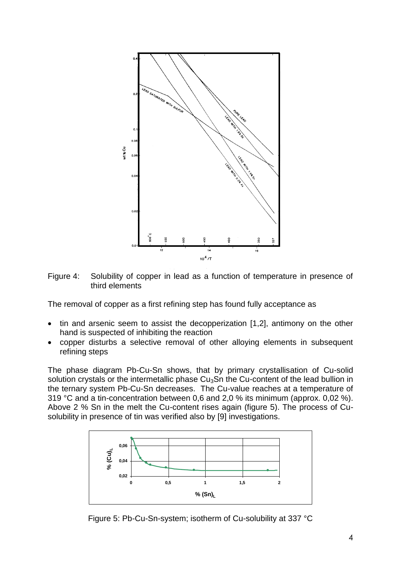



The removal of copper as a first refining step has found fully acceptance as

- tin and arsenic seem to assist the decopperization [1,2], antimony on the other hand is suspected of inhibiting the reaction
- copper disturbs a selective removal of other alloying elements in subsequent refining steps

The phase diagram Pb-Cu-Sn shows, that by primary crystallisation of Cu-solid solution crystals or the intermetallic phase  $Cu<sub>3</sub>Sn$  the Cu-content of the lead bullion in the ternary system Pb-Cu-Sn decreases. The Cu-value reaches at a temperature of 319 °C and a tin-concentration between 0,6 and 2,0 % its minimum (approx. 0,02 %). Above 2 % Sn in the melt the Cu-content rises again (figure 5). The process of Cusolubility in presence of tin was verified also by [9] investigations.



Figure 5: Pb-Cu-Sn-system; isotherm of Cu-solubility at 337 °C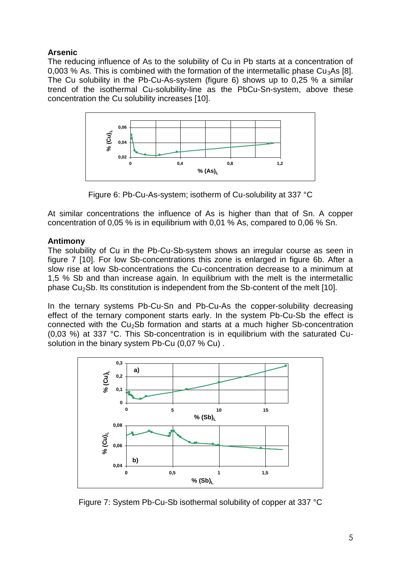# **Arsenic**

The reducing influence of As to the solubility of Cu in Pb starts at a concentration of 0,003 % As. This is combined with the formation of the intermetallic phase  $Cu<sub>3</sub>As$  [8]. The Cu solubility in the Pb-Cu-As-system (figure 6) shows up to 0,25 % a similar trend of the isothermal Cu-solubility-line as the PbCu-Sn-system, above these concentration the Cu solubility increases [10].



Figure 6: Pb-Cu-As-system; isotherm of Cu-solubility at 337 °C

At similar concentrations the influence of As is higher than that of Sn. A copper concentration of 0,05 % is in equilibrium with 0,01 % As, compared to 0,06 % Sn.

# **Antimony**

The solubility of Cu in the Pb-Cu-Sb-system shows an irregular course as seen in figure 7 [10]. For low Sb-concentrations this zone is enlarged in figure 6b. After a slow rise at low Sb-concentrations the Cu-concentration decrease to a minimum at 1,5 % Sb and than increase again. In equilibrium with the melt is the intermetallic phase  $Cu<sub>2</sub>Sb$ . Its constitution is independent from the Sb-content of the melt [10].

In the ternary systems Pb-Cu-Sn and Pb-Cu-As the copper-solubility decreasing effect of the ternary component starts early. In the system Pb-Cu-Sb the effect is connected with the Cu<sub>2</sub>Sb formation and starts at a much higher Sb-concentration (0,03 %) at 337 °C. This Sb-concentration is in equilibrium with the saturated Cusolution in the binary system Pb-Cu (0,07 % Cu) .



Figure 7: System Pb-Cu-Sb isothermal solubility of copper at 337 °C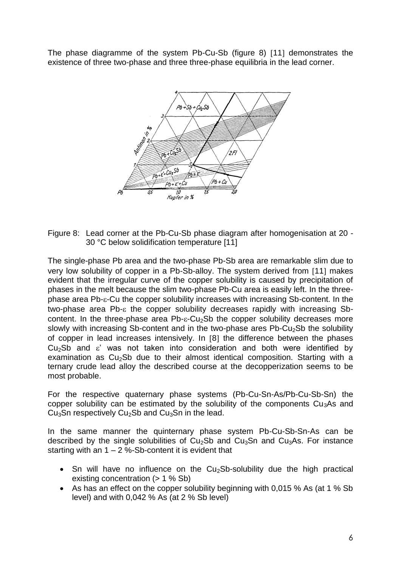The phase diagramme of the system Pb-Cu-Sb (figure 8) [11] demonstrates the existence of three two-phase and three three-phase equilibria in the lead corner.



Figure 8: Lead corner at the Pb-Cu-Sb phase diagram after homogenisation at 20 - 30 °C below solidification temperature [11]

The single-phase Pb area and the two-phase Pb-Sb area are remarkable slim due to very low solubility of copper in a Pb-Sb-alloy. The system derived from [11] makes evident that the irregular curve of the copper solubility is caused by precipitation of phases in the melt because the slim two-phase Pb-Cu area is easily left. In the three $phase$  area Pb- $\varepsilon$ -Cu the copper solubility increases with increasing Sb-content. In the two-phase area Pb- $\epsilon$  the copper solubility decreases rapidly with increasing Sbcontent. In the three-phase area  $Pb - E-Cu<sub>2</sub>$ Sb the copper solubility decreases more slowly with increasing Sb-content and in the two-phase ares  $Pb-Cu<sub>2</sub>Sb$  the solubility of copper in lead increases intensively. In [8] the difference between the phases  $Cu<sub>2</sub>Sb$  and  $\varepsilon'$  was not taken into consideration and both were identified by examination as  $Cu<sub>2</sub>Sb$  due to their almost identical composition. Starting with a ternary crude lead alloy the described course at the decopperization seems to be most probable.

For the respective quaternary phase systems (Pb-Cu-Sn-As/Pb-Cu-Sb-Sn) the copper solubility can be estimated by the solubility of the components  $Cu<sub>3</sub>As$  and Cu<sub>3</sub>Sn respectively Cu<sub>2</sub>Sb and Cu<sub>3</sub>Sn in the lead.

In the same manner the quinternary phase system Pb-Cu-Sb-Sn-As can be described by the single solubilities of  $Cu<sub>2</sub>sb$  and  $Cu<sub>3</sub>Sn$  and  $Cu<sub>3</sub>As$ . For instance starting with an  $1 - 2$  %-Sb-content it is evident that

- $\bullet$  Sn will have no influence on the Cu<sub>2</sub>Sb-solubility due the high practical existing concentration ( $> 1 \%$  Sb)
- As has an effect on the copper solubility beginning with 0,015 % As (at 1 % Sb level) and with 0,042 % As (at 2 % Sb level)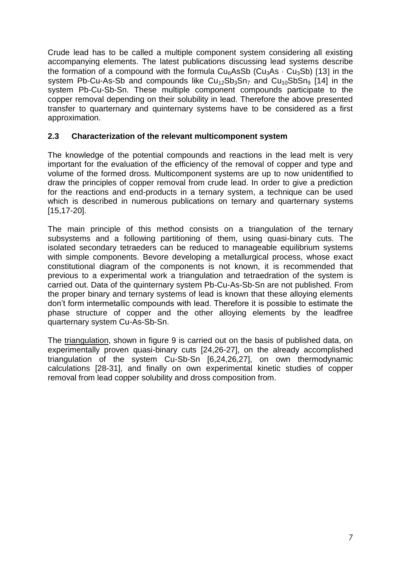Crude lead has to be called a multiple component system considering all existing accompanying elements. The latest publications discussing lead systems describe the formation of a compound with the formula  $Cu<sub>6</sub>AsSb$  (Cu<sub>3</sub>As  $\cdot$  Cu<sub>3</sub>Sb) [13] in the system Pb-Cu-As-Sb and compounds like  $Cu_{12}Sb_3Sn_7$  and  $Cu_{10}SbSn_9$  [14] in the system Pb-Cu-Sb-Sn. These multiple component compounds participate to the copper removal depending on their solubility in lead. Therefore the above presented transfer to quarternary and quinternary systems have to be considered as a first approximation.

### **2.3 Characterization of the relevant multicomponent system**

The knowledge of the potential compounds and reactions in the lead melt is very important for the evaluation of the efficiency of the removal of copper and type and volume of the formed dross. Multicomponent systems are up to now unidentified to draw the principles of copper removal from crude lead. In order to give a prediction for the reactions and end-products in a ternary system, a technique can be used which is described in numerous publications on ternary and quarternary systems [15,17-20].

The main principle of this method consists on a triangulation of the ternary subsystems and a following partitioning of them, using quasi-binary cuts. The isolated secondary tetraeders can be reduced to manageable equilibrium systems with simple components. Bevore developing a metallurgical process, whose exact constitutional diagram of the components is not known, it is recommended that previous to a experimental work a triangulation and tetraedration of the system is carried out. Data of the quinternary system Pb-Cu-As-Sb-Sn are not published. From the proper binary and ternary systems of lead is known that these alloying elements don't form intermetallic compounds with lead. Therefore it is possible to estimate the phase structure of copper and the other alloying elements by the leadfree quarternary system Cu-As-Sb-Sn.

The triangulation, shown in figure 9 is carried out on the basis of published data, on experimentally proven quasi-binary cuts [24,26-27], on the already accomplished triangulation of the system Cu-Sb-Sn [6,24,26,27], on own thermodynamic calculations [28-31], and finally on own experimental kinetic studies of copper removal from lead copper solubility and dross composition from.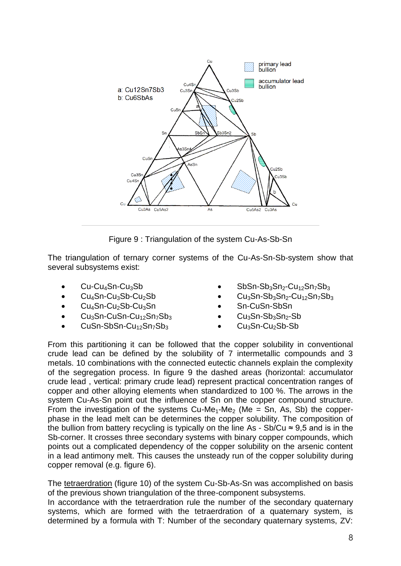

Figure 9 : Triangulation of the system Cu-As-Sb-Sn

The triangulation of ternary corner systems of the Cu-As-Sn-Sb-system show that several subsystems exist:

- Cu-Cu4Sn-Cu3Sb
- $Cu<sub>4</sub>Sn-Cu<sub>3</sub>Sb-Cu<sub>2</sub>Sb$
- $\bullet$  Cu<sub>4</sub>Sn-Cu<sub>2</sub>Sb-Cu<sub>3</sub>Sn
- $\bullet$  Cu<sub>3</sub>Sn-CuSn-Cu<sub>12</sub>Sn<sub>7</sub>Sb<sub>3</sub>
- $CuSn-SbSn-Cu_{12}Sn_{7}Sb_{3}$
- $Sb$ Sn-Sb<sub>3</sub>Sn<sub>2</sub>-Cu<sub>12</sub>Sn<sub>7</sub>Sb<sub>3</sub>
- $Cu<sub>3</sub>Sn-Sb<sub>3</sub>Sn<sub>2</sub>-Cu<sub>12</sub>Sn<sub>7</sub>Sh<sub>3</sub>$
- Sn-CuSn-SbSn
- $Cu<sub>3</sub>Sn-Sb<sub>3</sub>Sn<sub>2</sub>-Sb$
- Cu<sub>3</sub>Sn-Cu<sub>2</sub>Sb-Sb

From this partitioning it can be followed that the copper solubility in conventional crude lead can be defined by the solubility of 7 intermetallic compounds and 3 metals. 10 combinations with the connected eutectic channels explain the complexity of the segregation process. In figure 9 the dashed areas (horizontal: accumulator crude lead , vertical: primary crude lead) represent practical concentration ranges of copper and other alloying elements when standardized to 100 %. The arrows in the system Cu-As-Sn point out the influence of Sn on the copper compound structure. From the investigation of the systems  $Cu-Me<sub>1</sub>-Me<sub>2</sub>$  (Me = Sn, As, Sb) the copperphase in the lead melt can be determines the copper solubility. The composition of the bullion from battery recycling is typically on the line As - Sb/Cu  $\approx$  9,5 and is in the Sb-corner. It crosses three secondary systems with binary copper compounds, which points out a complicated dependency of the copper solubility on the arsenic content in a lead antimony melt. This causes the unsteady run of the copper solubility during copper removal (e.g. figure 6).

The tetraerdration (figure 10) of the system Cu-Sb-As-Sn was accomplished on basis of the previous shown triangulation of the three-component subsystems.

In accordance with the tetraerdration rule the number of the secondary quaternary systems, which are formed with the tetraerdration of a quaternary system, is determined by a formula with T: Number of the secondary quaternary systems, ZV: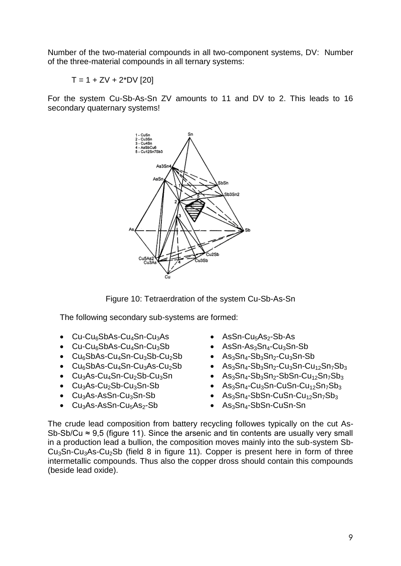Number of the two-material compounds in all two-component systems, DV: Number of the three-material compounds in all ternary systems:

 $T = 1 + ZV + 2*DV$  [20]

For the system Cu-Sb-As-Sn ZV amounts to 11 and DV to 2. This leads to 16 secondary quaternary systems!



Figure 10: Tetraerdration of the system Cu-Sb-As-Sn

The following secondary sub-systems are formed:

- $\bullet$  Cu-Cu $_6$ SbAs-Cu $_4$ Sn-Cu $_3$ As
- $\bullet$  Cu-Cu<sub>6</sub>SbAs-Cu<sub>4</sub>Sn-Cu<sub>3</sub>Sb
- $\bullet$  Cu<sub>6</sub>SbAs-Cu<sub>4</sub>Sn-Cu<sub>3</sub>Sb-Cu<sub>2</sub>Sb
- $\bullet$  Cu<sub>6</sub>SbAs-Cu<sub>4</sub>Sn-Cu<sub>3</sub>As-Cu<sub>2</sub>Sb
- $\bullet$  Cu<sub>3</sub>As-Cu<sub>4</sub>Sn-Cu<sub>2</sub>Sb-Cu<sub>3</sub>Sn
- $\bullet$  Cu<sub>3</sub>As-Cu<sub>2</sub>Sb-Cu<sub>3</sub>Sn-Sb
- Cu3As-AsSn-Cu3Sn-Sb
- $\bullet$  Cu<sub>3</sub>As-AsSn-Cu<sub>5</sub>As<sub>2</sub>-Sb
- $\bullet$  AsSn-Cu<sub>5</sub>As<sub>2</sub>-Sb-As
- $\bullet$  AsSn-As<sub>3</sub>Sn<sub>4</sub>-Cu<sub>3</sub>Sn-Sb
- $As_3Sn_4-Sb_3Sn_2-Cu_3Sn-Sb$
- $\bullet$  As<sub>3</sub>Sn<sub>4</sub>-Sb<sub>3</sub>Sn<sub>2</sub>-Cu<sub>3</sub>Sn-Cu<sub>12</sub>Sn<sub>7</sub>Sb<sub>3</sub>
- $As_3Sn_4-Sb_3Sn_2-SbSn-Cu_{12}Sn_7Sb_3$
- $As_3Sn_4-Cu_3Sn-CuSn-Cu_{12}Sn_7Sb_3$
- $\bullet$  As<sub>3</sub>Sn<sub>4</sub>-SbSn-CuSn-Cu<sub>12</sub>Sn<sub>7</sub>Sb<sub>3</sub>
- As<sub>3</sub>Sn<sub>4</sub>-SbSn-CuSn-Sn

The crude lead composition from battery recycling followes typically on the cut As-Sb-Sb/Cu  $\approx$  9.5 (figure 11). Since the arsenic and tin contents are usually very small in a production lead a bullion, the composition moves mainly into the sub-system Sb- $Cu<sub>3</sub>Sn-Cu<sub>3</sub>As-Cu<sub>2</sub>Sb$  (field 8 in figure 11). Copper is present here in form of three intermetallic compounds. Thus also the copper dross should contain this compounds (beside lead oxide).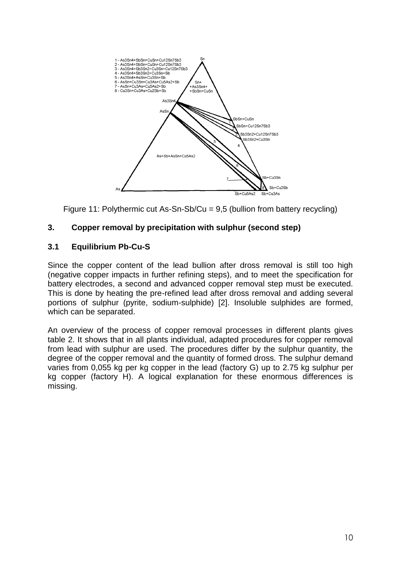

Figure 11: Polythermic cut As-Sn-Sb/Cu = 9,5 (bullion from battery recycling)

# **3. Copper removal by precipitation with sulphur (second step)**

## **3.1 Equilibrium Pb-Cu-S**

Since the copper content of the lead bullion after dross removal is still too high (negative copper impacts in further refining steps), and to meet the specification for battery electrodes, a second and advanced copper removal step must be executed. This is done by heating the pre-refined lead after dross removal and adding several portions of sulphur (pyrite, sodium-sulphide) [2]. Insoluble sulphides are formed, which can be separated.

An overview of the process of copper removal processes in different plants gives table 2. It shows that in all plants individual, adapted procedures for copper removal from lead with sulphur are used. The procedures differ by the sulphur quantity, the degree of the copper removal and the quantity of formed dross. The sulphur demand varies from 0,055 kg per kg copper in the lead (factory G) up to 2.75 kg sulphur per kg copper (factory H). A logical explanation for these enormous differences is missing.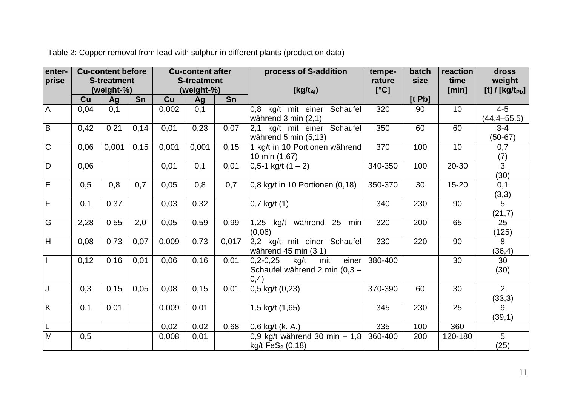| enter-<br>prise         | <b>Cu-content before</b><br><b>S-treatment</b><br>(weight-%) |       | <b>Cu-content after</b><br><b>S-treatment</b><br>(weight-%) |       |       | process of S-addition | tempe-<br>rature                                                             | batch<br>size | reaction<br>time | dross<br>weight |                              |
|-------------------------|--------------------------------------------------------------|-------|-------------------------------------------------------------|-------|-------|-----------------------|------------------------------------------------------------------------------|---------------|------------------|-----------------|------------------------------|
|                         | Cu                                                           | Ag    | Sn                                                          | Cu    | Ag    | Sn                    | $[Kg/t_{Al})$                                                                | [°C]          | [tPb]            | [min]           | [t] / $[kg/t_{Pb}]$          |
| $\overline{A}$          | 0,04                                                         | 0,1   |                                                             | 0,002 | 0,1   |                       | kg/t<br>Schaufel<br>mit einer<br>0.8<br>während 3 min (2,1)                  | 320           | 90               | 10              | $4 - 5$<br>$(44, 4 - 55, 5)$ |
| $\overline{B}$          | 0,42                                                         | 0,21  | 0,14                                                        | 0,01  | 0,23  | 0,07                  | kg/t mit einer Schaufel<br>2,1<br>während 5 min (5,13)                       | 350           | 60               | 60              | $3 - 4$<br>$(50-67)$         |
| $\overline{C}$          | 0,06                                                         | 0,001 | 0,15                                                        | 0,001 | 0,001 | 0,15                  | 1 kg/t in 10 Portionen während<br>10 min (1,67)                              | 370           | 100              | 10              | 0,7<br>(7)                   |
| $\overline{D}$          | 0,06                                                         |       |                                                             | 0,01  | 0,1   | 0,01                  | $0,5-1$ kg/t $(1 – 2)$                                                       | 340-350       | 100              | $20 - 30$       | $\overline{3}$<br>(30)       |
| Ē                       | 0,5                                                          | 0,8   | 0,7                                                         | 0,05  | 0,8   | 0,7                   | $0,8$ kg/t in 10 Portionen $(0,18)$                                          | 350-370       | 30               | $15 - 20$       | 0,1<br>(3,3)                 |
| $\overline{F}$          | 0,1                                                          | 0,37  |                                                             | 0,03  | 0,32  |                       | $0,7$ kg/t $(1)$                                                             | 340           | 230              | 90              | 5<br>(21,7)                  |
| $\overline{G}$          | 2,28                                                         | 0,55  | 2,0                                                         | 0,05  | 0,59  | 0,99                  | kg/t während 25<br>1,25<br>min<br>(0,06)                                     | 320           | 200              | 65              | $\overline{25}$<br>(125)     |
| $\overline{H}$          | 0,08                                                         | 0,73  | 0,07                                                        | 0,009 | 0,73  | 0,017                 | 2,2 kg/t mit einer Schaufel<br>während $45$ min $(3,1)$                      | 330           | 220              | 90              | 8<br>(36, 4)                 |
| l I                     | 0,12                                                         | 0,16  | 0,01                                                        | 0,06  | 0,16  | 0,01                  | einer<br>mit<br>$0,2-0,25$<br>kg/t<br>Schaufel während 2 min (0,3 -<br>(0,4) | 380-400       |                  | 30              | 30<br>(30)                   |
| J                       | 0,3                                                          | 0,15  | 0,05                                                        | 0,08  | 0,15  | 0,01                  | $0,5$ kg/t $(0,23)$                                                          | 370-390       | 60               | 30              | $\overline{2}$<br>(33,3)     |
| $\overline{\mathsf{K}}$ | 0,1                                                          | 0,01  |                                                             | 0,009 | 0,01  |                       | 1,5 kg/t (1,65)                                                              | 345           | 230              | 25              | 9<br>(39,1)                  |
| $\lfloor$               |                                                              |       |                                                             | 0,02  | 0,02  | 0,68                  | 0,6 kg/t (k. A.)                                                             | 335           | 100              | 360             |                              |
| $\overline{M}$          | 0,5                                                          |       |                                                             | 0,008 | 0,01  |                       | 0,9 kg/t während 30 min + $1,8$<br>kg/t FeS <sub>2</sub> (0,18)              | 360-400       | 200              | 120-180         | $5\overline{)}$<br>(25)      |

Table 2: Copper removal from lead with sulphur in different plants (production data)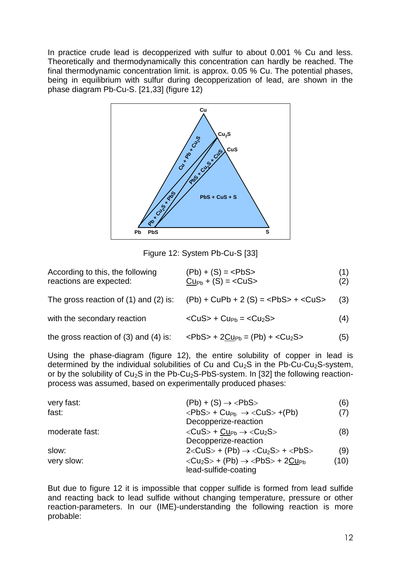In practice crude lead is decopperized with sulfur to about 0.001 % Cu and less. Theoretically and thermodynamically this concentration can hardly be reached. The final thermodynamic concentration limit. is approx. 0.05 % Cu. The potential phases, being in equilibrium with sulfur during decopperization of lead, are shown in the phase diagram Pb-Cu-S. [21,33] (figure 12)



Figure 12: System Pb-Cu-S [33]

| According to this, the following<br>reactions are expected: | $(Pb) + (S) = $<br>$CuPb + (S) = $                   | (1)<br>(2) |
|-------------------------------------------------------------|------------------------------------------------------|------------|
| The gross reaction of $(1)$ and $(2)$ is:                   | $(Pb) + CuPb + 2(S) =  + $                           | (3)        |
| with the secondary reaction                                 | $<$ CuS> + Cu <sub>Pb</sub> = $<$ Cu <sub>2</sub> S> | (4)        |
| the gross reaction of $(3)$ and $(4)$ is:                   | $PbS$ + 2 $Cu_{Pb} = (Pb) + cCu_2S$                  | (5)        |

Using the phase-diagram (figure 12), the entire solubility of copper in lead is determined by the individual solubilities of Cu and  $Cu<sub>2</sub>S$  in the Pb-Cu-Cu<sub>2</sub>S-system, or by the solubility of  $Cu<sub>2</sub>S$  in the Pb-Cu<sub>2</sub>S-PbS-system. In [32] the following reactionprocess was assumed, based on experimentally produced phases:

| very fast:     | $(Pb) + (S) \rightarrow \langle PbS \rangle$                                         | (6)  |
|----------------|--------------------------------------------------------------------------------------|------|
| fast:          | $\langle PbS \rangle$ + Cu <sub>Pb</sub> $\rightarrow \langle CuS \rangle$ +(Pb)     | (7)  |
|                | Decopperize-reaction                                                                 |      |
| moderate fast: | $\langle CUS \rangle$ + $Cup_b \rightarrow \langle Cu_2S \rangle$                    | (8)  |
|                | Decopperize-reaction                                                                 |      |
| slow:          | $2 <$ CuS> + (Pb) $\rightarrow$ <cu<sub>2S&gt; + <pbs></pbs></cu<sub>                | (9)  |
| very slow:     | $\langle Cu_2S \rangle$ + (Pb) $\rightarrow \langle PbS \rangle$ + 2Cu <sub>Ph</sub> | (10) |
|                | lead-sulfide-coating                                                                 |      |

But due to figure 12 it is impossible that copper sulfide is formed from lead sulfide and reacting back to lead sulfide without changing temperature, pressure or other reaction-parameters. In our (IME)-understanding the following reaction is more probable: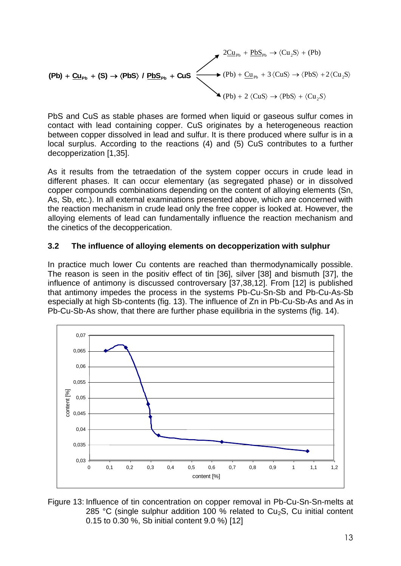$$
\begin{array}{c}\n\mathbf{2} \underline{C} \underline{u}_{Pb} + \underline{Pb} \underline{S}_{Pb} \rightarrow \langle Cu_2S \rangle + (Pb) \\
\hline\n\end{array}
$$
\n
$$
\begin{array}{c}\n\mathbf{2} \underline{C} \underline{u}_{Pb} + \underline{Pb} \underline{S}_{Pb} \rightarrow \langle Cu_2S \rangle + (Pb) \\
\hline\n\end{array}
$$
\n
$$
\begin{array}{c}\n\mathbf{2} \underline{C} \underline{u}_{Pb} + \underline{Pb} \underline{S}_{Pb} \rightarrow \langle Cu_2S \rangle + (Pb) \\
\hline\n\end{array}
$$
\n
$$
\begin{array}{c}\n\mathbf{2} \underline{C} \underline{u}_{Pb} + \underline{Pb} \underline{S}_{Pb} \rightarrow \langle Cu_2S \rangle + \langle Cu_2S \rangle \\
\hline\n\end{array}
$$

PbS and CuS as stable phases are formed when liquid or gaseous sulfur comes in contact with lead containing copper. CuS originates by a heterogeneous reaction between copper dissolved in lead and sulfur. It is there produced where sulfur is in a local surplus. According to the reactions (4) and (5) CuS contributes to a further decopperization [1,35].

As it results from the tetraedation of the system copper occurs in crude lead in different phases. It can occur elementary (as segregated phase) or in dissolved copper compounds combinations depending on the content of alloying elements (Sn, As, Sb, etc.). In all external examinations presented above, which are concerned with the reaction mechanism in crude lead only the free copper is looked at. However, the alloying elements of lead can fundamentally influence the reaction mechanism and the cinetics of the decopperication.

## **3.2 The influence of alloying elements on decopperization with sulphur**

In practice much lower Cu contents are reached than thermodynamically possible. The reason is seen in the positiv effect of tin [36], silver [38] and bismuth [37], the influence of antimony is discussed controversary [37,38,12]. From [12] is published that antimony impedes the process in the systems Pb-Cu-Sn-Sb and Pb-Cu-As-Sb especially at high Sb-contents (fig. 13). The influence of Zn in Pb-Cu-Sb-As and As in Pb-Cu-Sb-As show, that there are further phase equilibria in the systems (fig. 14).



Figure 13: Influence of tin concentration on copper removal in Pb-Cu-Sn-Sn-melts at 285 °C (single sulphur addition 100 % related to  $Cu<sub>2</sub>S$ , Cu initial content 0.15 to 0.30 %, Sb initial content 9.0 %) [12]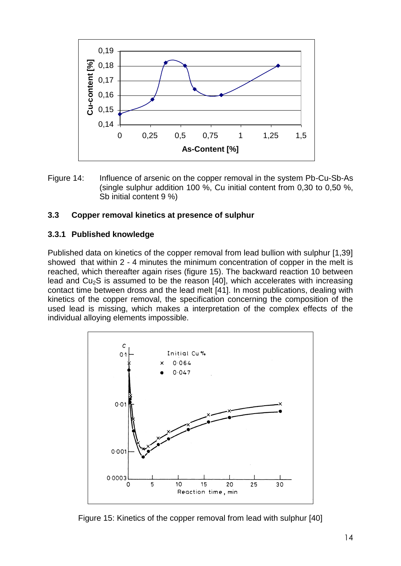![](_page_13_Figure_0.jpeg)

Figure 14: Influence of arsenic on the copper removal in the system Pb-Cu-Sb-As (single sulphur addition 100 %, Cu initial content from 0,30 to 0,50 %, Sb initial content 9 %)

#### **3.3 Copper removal kinetics at presence of sulphur**

#### **3.3.1 Published knowledge**

Published data on kinetics of the copper removal from lead bullion with sulphur [1,39] showed that within 2 - 4 minutes the minimum concentration of copper in the melt is reached, which thereafter again rises (figure 15). The backward reaction 10 between lead and  $Cu<sub>2</sub>S$  is assumed to be the reason [40], which accelerates with increasing contact time between dross and the lead melt [41]. In most publications, dealing with kinetics of the copper removal, the specification concerning the composition of the used lead is missing, which makes a interpretation of the complex effects of the individual alloying elements impossible.

![](_page_13_Figure_5.jpeg)

Figure 15: Kinetics of the copper removal from lead with sulphur [40]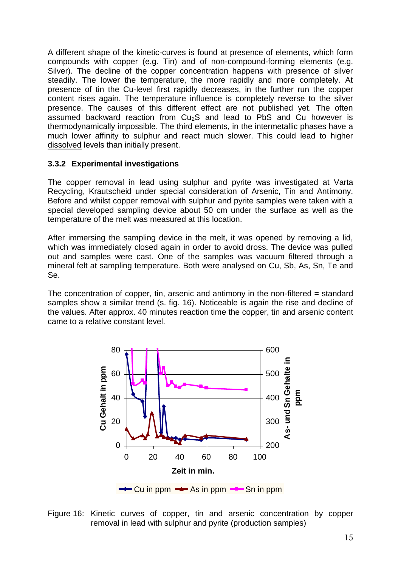A different shape of the kinetic-curves is found at presence of elements, which form compounds with copper (e.g. Tin) and of non-compound-forming elements (e.g. Silver). The decline of the copper concentration happens with presence of silver steadily. The lower the temperature, the more rapidly and more completely. At presence of tin the Cu-level first rapidly decreases, in the further run the copper content rises again. The temperature influence is completely reverse to the silver presence. The causes of this different effect are not published yet. The often assumed backward reaction from  $Cu<sub>2</sub>S$  and lead to PbS and Cu however is thermodynamically impossible. The third elements, in the intermetallic phases have a much lower affinity to sulphur and react much slower. This could lead to higher dissolved levels than initially present.

## **3.3.2 Experimental investigations**

The copper removal in lead using sulphur and pyrite was investigated at Varta Recycling, Krautscheid under special consideration of Arsenic, Tin and Antimony. Before and whilst copper removal with sulphur and pyrite samples were taken with a special developed sampling device about 50 cm under the surface as well as the temperature of the melt was measured at this location.

After immersing the sampling device in the melt, it was opened by removing a lid, which was immediately closed again in order to avoid dross. The device was pulled out and samples were cast. One of the samples was vacuum filtered through a mineral felt at sampling temperature. Both were analysed on Cu, Sb, As, Sn, Te and Se.

The concentration of copper, tin, arsenic and antimony in the non-filtered = standard samples show a similar trend (s. fig. 16). Noticeable is again the rise and decline of the values. After approx. 40 minutes reaction time the copper, tin and arsenic content came to a relative constant level.

![](_page_14_Figure_5.jpeg)

Figure 16: Kinetic curves of copper, tin and arsenic concentration by copper removal in lead with sulphur and pyrite (production samples)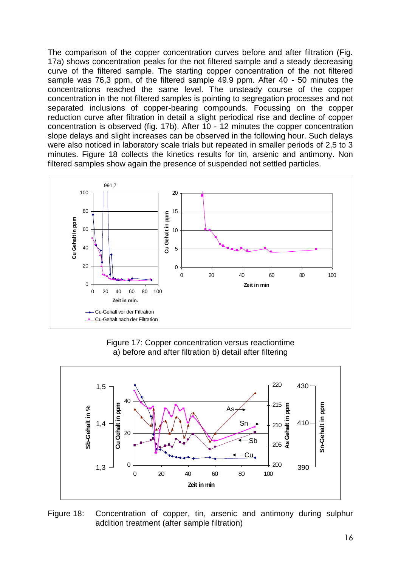The comparison of the copper concentration curves before and after filtration (Fig. 17a) shows concentration peaks for the not filtered sample and a steady decreasing curve of the filtered sample. The starting copper concentration of the not filtered sample was 76,3 ppm, of the filtered sample 49.9 ppm. After 40 - 50 minutes the concentrations reached the same level. The unsteady course of the copper concentration in the not filtered samples is pointing to segregation processes and not separated inclusions of copper-bearing compounds. Focussing on the copper reduction curve after filtration in detail a slight periodical rise and decline of copper concentration is observed (fig. 17b). After 10 - 12 minutes the copper concentration slope delays and slight increases can be observed in the following hour. Such delays were also noticed in laboratory scale trials but repeated in smaller periods of 2,5 to 3 minutes. Figure 18 collects the kinetics results for tin, arsenic and antimony. Non filtered samples show again the presence of suspended not settled particles.

![](_page_15_Figure_1.jpeg)

Figure 17: Copper concentration versus reactiontime a) before and after filtration b) detail after filtering

![](_page_15_Figure_3.jpeg)

Figure 18: Concentration of copper, tin, arsenic and antimony during sulphur addition treatment (after sample filtration)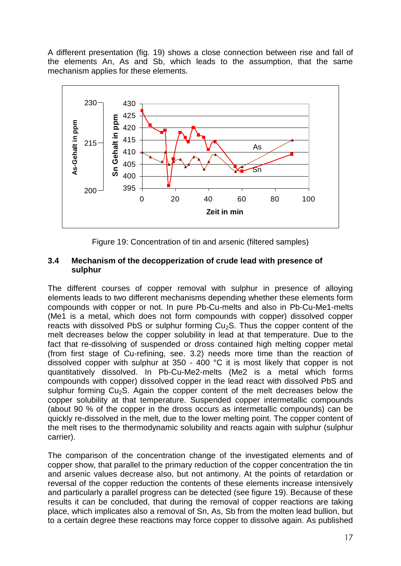A different presentation (fig. 19) shows a close connection between rise and fall of the elements An, As and Sb, which leads to the assumption, that the same mechanism applies for these elements.

![](_page_16_Figure_1.jpeg)

Figure 19: Concentration of tin and arsenic (filtered samples)

#### **3.4 Mechanism of the decopperization of crude lead with presence of sulphur**

The different courses of copper removal with sulphur in presence of alloying elements leads to two different mechanisms depending whether these elements form compounds with copper or not. In pure Pb-Cu-melts and also in Pb-Cu-Me1-melts (Me1 is a metal, which does not form compounds with copper) dissolved copper reacts with dissolved PbS or sulphur forming  $Cu<sub>2</sub>$ S. Thus the copper content of the melt decreases below the copper solubility in lead at that temperature. Due to the fact that re-dissolving of suspended or dross contained high melting copper metal (from first stage of Cu-refining, see. 3.2) needs more time than the reaction of dissolved copper with sulphur at 350 - 400 °C it is most likely that copper is not quantitatively dissolved. In Pb-Cu-Me2-melts (Me2 is a metal which forms compounds with copper) dissolved copper in the lead react with dissolved PbS and sulphur forming  $Cu<sub>2</sub>S$ . Again the copper content of the melt decreases below the copper solubility at that temperature. Suspended copper intermetallic compounds (about 90 % of the copper in the dross occurs as intermetallic compounds) can be quickly re-dissolved in the melt, due to the lower melting point. The copper content of the melt rises to the thermodynamic solubility and reacts again with sulphur (sulphur carrier).

The comparison of the concentration change of the investigated elements and of copper show, that parallel to the primary reduction of the copper concentration the tin and arsenic values decrease also, but not antimony. At the points of retardation or reversal of the copper reduction the contents of these elements increase intensively and particularly a parallel progress can be detected (see figure 19). Because of these results it can be concluded, that during the removal of copper reactions are taking place, which implicates also a removal of Sn, As, Sb from the molten lead bullion, but to a certain degree these reactions may force copper to dissolve again. As published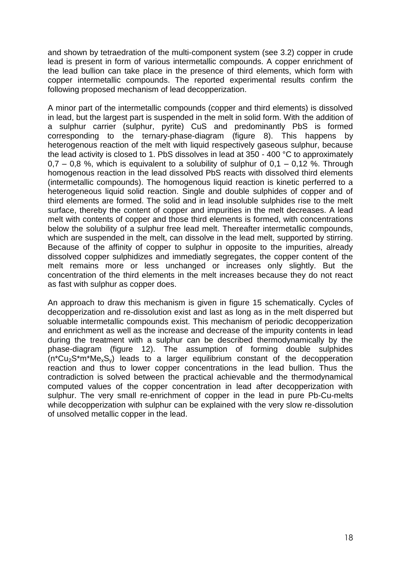and shown by tetraedration of the multi-component system (see 3.2) copper in crude lead is present in form of various intermetallic compounds. A copper enrichment of the lead bullion can take place in the presence of third elements, which form with copper intermetallic compounds. The reported experimental results confirm the following proposed mechanism of lead decopperization.

A minor part of the intermetallic compounds (copper and third elements) is dissolved in lead, but the largest part is suspended in the melt in solid form. With the addition of a sulphur carrier (sulphur, pyrite) CuS and predominantly PbS is formed corresponding to the ternary-phase-diagram (figure 8). This happens by heterogenous reaction of the melt with liquid respectively gaseous sulphur, because the lead activity is closed to 1. PbS dissolves in lead at 350 - 400 °C to approximately  $0.7 - 0.8$  %, which is equivalent to a solubility of sulphur of  $0.1 - 0.12$  %. Through homogenous reaction in the lead dissolved PbS reacts with dissolved third elements (intermetallic compounds). The homogenous liquid reaction is kinetic perferred to a heterogeneous liquid solid reaction. Single and double sulphides of copper and of third elements are formed. The solid and in lead insoluble sulphides rise to the melt surface, thereby the content of copper and impurities in the melt decreases. A lead melt with contents of copper and those third elements is formed, with concentrations below the solubility of a sulphur free lead melt. Thereafter intermetallic compounds, which are suspended in the melt, can dissolve in the lead melt, supported by stirring. Because of the affinity of copper to sulphur in opposite to the impurities, already dissolved copper sulphidizes and immediatly segregates, the copper content of the melt remains more or less unchanged or increases only slightly. But the concentration of the third elements in the melt increases because they do not react as fast with sulphur as copper does.

An approach to draw this mechanism is given in figure 15 schematically. Cycles of decopperization and re-dissolution exist and last as long as in the melt disperred but soluable intermetallic compounds exist. This mechanism of periodic decopperization and enrichment as well as the increase and decrease of the impurity contents in lead during the treatment with a sulphur can be described thermodynamically by the phase-diagram (figure 12). The assumption of forming double sulphides  $(n*Cu<sub>2</sub>S*m*Me<sub>x</sub>S<sub>y</sub>)$  leads to a larger equilibrium constant of the decopperation reaction and thus to lower copper concentrations in the lead bullion. Thus the contradiction is solved between the practical achievable and the thermodynamical computed values of the copper concentration in lead after decopperization with sulphur. The very small re-enrichment of copper in the lead in pure Pb-Cu-melts while decopperization with sulphur can be explained with the very slow re-dissolution of unsolved metallic copper in the lead.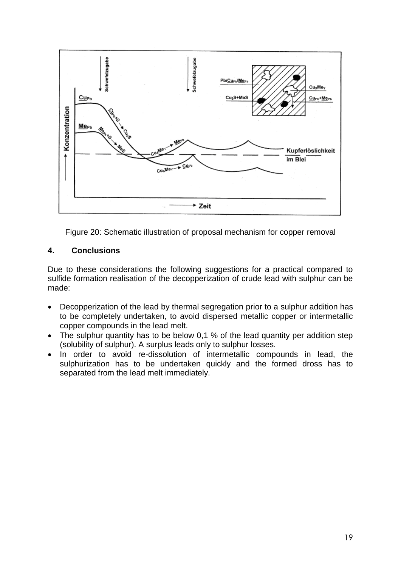![](_page_18_Figure_0.jpeg)

Figure 20: Schematic illustration of proposal mechanism for copper removal

## **4. Conclusions**

Due to these considerations the following suggestions for a practical compared to sulfide formation realisation of the decopperization of crude lead with sulphur can be made:

- Decopperization of the lead by thermal segregation prior to a sulphur addition has to be completely undertaken, to avoid dispersed metallic copper or intermetallic copper compounds in the lead melt.
- The sulphur quantity has to be below 0,1 % of the lead quantity per addition step (solubility of sulphur). A surplus leads only to sulphur losses.
- In order to avoid re-dissolution of intermetallic compounds in lead, the sulphurization has to be undertaken quickly and the formed dross has to separated from the lead melt immediately.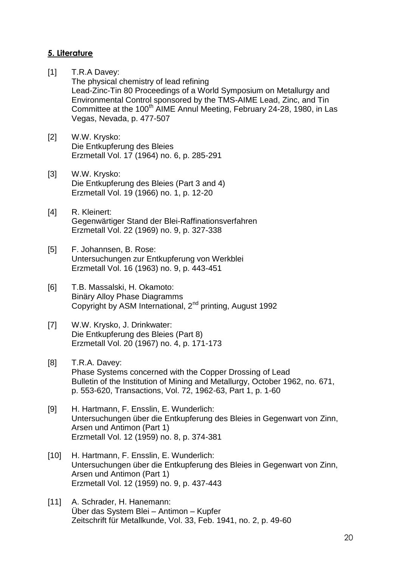## **5. Literature**

- [1] T.R.A Davey: The physical chemistry of lead refining Lead-Zinc-Tin 80 Proceedings of a World Symposium on Metallurgy and Environmental Control sponsored by the TMS-AIME Lead, Zinc, and Tin Committee at the 100<sup>th</sup> AIME Annul Meeting, February 24-28, 1980, in Las Vegas, Nevada, p. 477-507
- [2] W.W. Krysko: Die Entkupferung des Bleies Erzmetall Vol. 17 (1964) no. 6, p. 285-291
- [3] W.W. Krysko: Die Entkupferung des Bleies (Part 3 and 4) Erzmetall Vol. 19 (1966) no. 1, p. 12-20
- [4] R. Kleinert: Gegenwärtiger Stand der Blei-Raffinationsverfahren Erzmetall Vol. 22 (1969) no. 9, p. 327-338
- [5] F. Johannsen, B. Rose: Untersuchungen zur Entkupferung von Werkblei Erzmetall Vol. 16 (1963) no. 9, p. 443-451
- [6] T.B. Massalski, H. Okamoto: Binäry Alloy Phase Diagramms Copyright by ASM International, 2nd printing, August 1992
- [7] W.W. Krysko, J. Drinkwater: Die Entkupferung des Bleies (Part 8) Erzmetall Vol. 20 (1967) no. 4, p. 171-173
- [8] T.R.A. Davey: Phase Systems concerned with the Copper Drossing of Lead Bulletin of the Institution of Mining and Metallurgy, October 1962, no. 671, p. 553-620, Transactions, Vol. 72, 1962-63, Part 1, p. 1-60
- [9] H. Hartmann, F. Ensslin, E. Wunderlich: Untersuchungen über die Entkupferung des Bleies in Gegenwart von Zinn, Arsen und Antimon (Part 1) Erzmetall Vol. 12 (1959) no. 8, p. 374-381
- [10] H. Hartmann, F. Ensslin, E. Wunderlich: Untersuchungen über die Entkupferung des Bleies in Gegenwart von Zinn, Arsen und Antimon (Part 1) Erzmetall Vol. 12 (1959) no. 9, p. 437-443
- [11] A. Schrader, H. Hanemann: Über das System Blei – Antimon – Kupfer Zeitschrift für Metallkunde, Vol. 33, Feb. 1941, no. 2, p. 49-60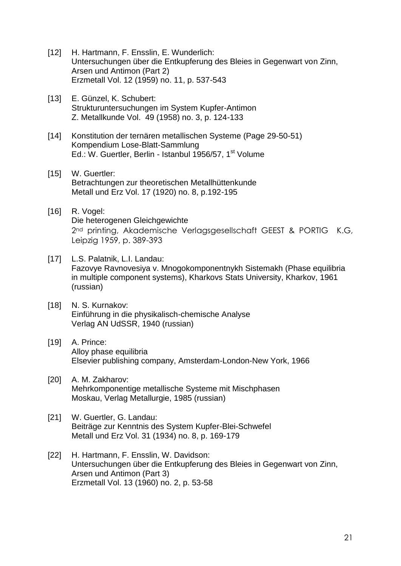- [12] H. Hartmann, F. Ensslin, E. Wunderlich: Untersuchungen über die Entkupferung des Bleies in Gegenwart von Zinn, Arsen und Antimon (Part 2) Erzmetall Vol. 12 (1959) no. 11, p. 537-543
- [13] E. Günzel, K. Schubert: Strukturuntersuchungen im System Kupfer-Antimon Z. Metallkunde Vol. 49 (1958) no. 3, p. 124-133
- [14] Konstitution der ternären metallischen Systeme (Page 29-50-51) Kompendium Lose-Blatt-Sammlung Ed.: W. Guertler, Berlin - Istanbul 1956/57, 1<sup>st</sup> Volume
- [15] W. Guertler: Betrachtungen zur theoretischen Metallhüttenkunde Metall und Erz Vol. 17 (1920) no. 8, p.192-195
- [16] R. Vogel: Die heterogenen Gleichgewichte 2<sup>nd</sup> printing, Akademische Verlagsgesellschaft GEEST & PORTIG K.G, Leipzig 1959, p. 389-393
- [17] L.S. Palatnik, L.I. Landau: Fazovye Ravnovesiya v. Mnogokomponentnykh Sistemakh (Phase equilibria in multiple component systems), Kharkovs Stats University, Kharkov, 1961 (russian)
- [18] N. S. Kurnakov: Einführung in die physikalisch-chemische Analyse Verlag AN UdSSR, 1940 (russian)
- [19] A. Prince: Alloy phase equilibria Elsevier publishing company, Amsterdam-London-New York, 1966
- [20] A. M. Zakharov: Mehrkomponentige metallische Systeme mit Mischphasen Moskau, Verlag Metallurgie, 1985 (russian)
- [21] W. Guertler, G. Landau: Beiträge zur Kenntnis des System Kupfer-Blei-Schwefel Metall und Erz Vol. 31 (1934) no. 8, p. 169-179
- [22] H. Hartmann, F. Ensslin, W. Davidson: Untersuchungen über die Entkupferung des Bleies in Gegenwart von Zinn, Arsen und Antimon (Part 3) Erzmetall Vol. 13 (1960) no. 2, p. 53-58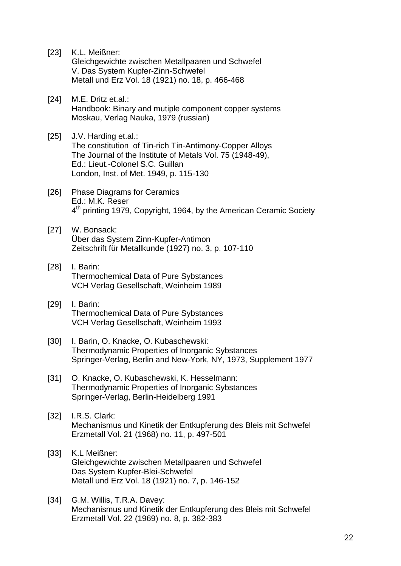| $[23]$ | K.L. Meißner:<br>Gleichgewichte zwischen Metallpaaren und Schwefel<br>V. Das System Kupfer-Zinn-Schwefel<br>Metall und Erz Vol. 18 (1921) no. 18, p. 466-468                                                               |
|--------|----------------------------------------------------------------------------------------------------------------------------------------------------------------------------------------------------------------------------|
| $[24]$ | M.E. Dritz et.al.:<br>Handbook: Binary and mutiple component copper systems<br>Moskau, Verlag Nauka, 1979 (russian)                                                                                                        |
| $[25]$ | J.V. Harding et.al.:<br>The constitution of Tin-rich Tin-Antimony-Copper Alloys<br>The Journal of the Institute of Metals Vol. 75 (1948-49),<br>Ed.: Lieut.-Colonel S.C. Guillan<br>London, Inst. of Met. 1949, p. 115-130 |
| [26]   | <b>Phase Diagrams for Ceramics</b><br>Ed.: M.K. Reser<br>4 <sup>th</sup> printing 1979, Copyright, 1964, by the American Ceramic Society                                                                                   |
| $[27]$ | W. Bonsack:<br>Über das System Zinn-Kupfer-Antimon<br>Zeitschrift für Metallkunde (1927) no. 3, p. 107-110                                                                                                                 |
| $[28]$ | I. Barin:<br><b>Thermochemical Data of Pure Sybstances</b><br>VCH Verlag Gesellschaft, Weinheim 1989                                                                                                                       |
| $[29]$ | I. Barin:<br><b>Thermochemical Data of Pure Sybstances</b><br>VCH Verlag Gesellschaft, Weinheim 1993                                                                                                                       |
| $[30]$ | I. Barin, O. Knacke, O. Kubaschewski:<br>Thermodynamic Properties of Inorganic Sybstances<br>Springer-Verlag, Berlin and New-York, NY, 1973, Supplement 1977                                                               |
| $[31]$ | O. Knacke, O. Kubaschewski, K. Hesselmann:<br>Thermodynamic Properties of Inorganic Sybstances<br>Springer-Verlag, Berlin-Heidelberg 1991                                                                                  |
| $[32]$ | I.R.S. Clark:<br>Mechanismus und Kinetik der Entkupferung des Bleis mit Schwefel<br>Erzmetall Vol. 21 (1968) no. 11, p. 497-501                                                                                            |
| $[33]$ | K.L Meißner:<br>Gleichgewichte zwischen Metallpaaren und Schwefel<br>Das System Kupfer-Blei-Schwefel<br>Metall und Erz Vol. 18 (1921) no. 7, p. 146-152                                                                    |
| $[34]$ | G.M. Willis, T.R.A. Davey:<br>Mochanismus und Kinotik der Entkunferung des Rlois mit Schwefel                                                                                                                              |

Mechanismus und Kinetik der Entkupferung des Bleis mit Schwefel Erzmetall Vol. 22 (1969) no. 8, p. 382-383